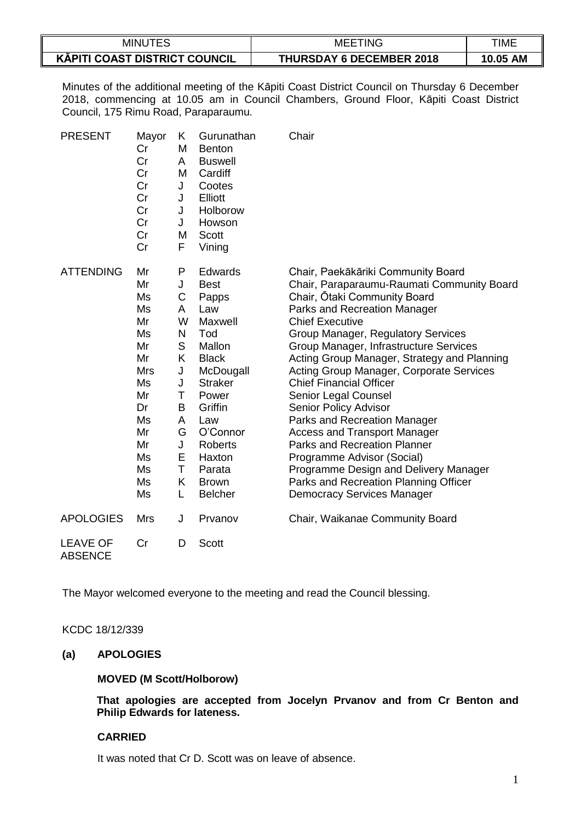| MINUTES                              | MEE <sup>-</sup><br>ETING       | TIME     |
|--------------------------------------|---------------------------------|----------|
| <b>KĀPITI COAST DISTRICT COUNCIL</b> | <b>THURSDAY 6 DECEMBER 2018</b> | 10.05 AM |

Minutes of the additional meeting of the Kāpiti Coast District Council on Thursday 6 December 2018, commencing at 10.05 am in Council Chambers, Ground Floor, Kāpiti Coast District Council, 175 Rimu Road, Paraparaumu.

| <b>PRESENT</b>                    | Mayor<br>Cr<br>Cr<br>Cr<br>Cr<br>Cr<br>Cr<br>Cr<br>Cr<br>Cr                                                            | Κ<br>M<br>A<br>M<br>J<br>J<br>J<br>J<br>M<br>F                                              | Gurunathan<br><b>Benton</b><br><b>Buswell</b><br>Cardiff<br>Cootes<br>Elliott<br>Holborow<br>Howson<br><b>Scott</b><br>Vining                                                                                                    | Chair                                                                                                                                                                                                                                                                                                                                                                                                                                                                                                                                                                                                                                                                                                       |
|-----------------------------------|------------------------------------------------------------------------------------------------------------------------|---------------------------------------------------------------------------------------------|----------------------------------------------------------------------------------------------------------------------------------------------------------------------------------------------------------------------------------|-------------------------------------------------------------------------------------------------------------------------------------------------------------------------------------------------------------------------------------------------------------------------------------------------------------------------------------------------------------------------------------------------------------------------------------------------------------------------------------------------------------------------------------------------------------------------------------------------------------------------------------------------------------------------------------------------------------|
| <b>ATTENDING</b>                  | Mr<br>Mr<br>Ms<br>Ms<br>Mr<br>Ms<br>Mr<br>Mr<br><b>Mrs</b><br>Ms<br>Mr<br>Dr<br>Ms<br>Mr<br>Mr<br>Ms<br>Ms<br>Ms<br>Ms | P<br>J<br>C<br>A<br>W<br>N<br>S<br>K<br>J<br>J<br>Τ<br>B<br>A<br>G<br>J<br>Е<br>T<br>K<br>L | Edwards<br><b>Best</b><br>Papps<br>Law<br>Maxwell<br>Tod<br>Mallon<br><b>Black</b><br>McDougall<br><b>Straker</b><br>Power<br>Griffin<br>Law<br>O'Connor<br><b>Roberts</b><br>Haxton<br>Parata<br><b>Brown</b><br><b>Belcher</b> | Chair, Paekākāriki Community Board<br>Chair, Paraparaumu-Raumati Community Board<br>Chair, Otaki Community Board<br>Parks and Recreation Manager<br><b>Chief Executive</b><br>Group Manager, Regulatory Services<br>Group Manager, Infrastructure Services<br>Acting Group Manager, Strategy and Planning<br>Acting Group Manager, Corporate Services<br><b>Chief Financial Officer</b><br>Senior Legal Counsel<br>Senior Policy Advisor<br>Parks and Recreation Manager<br><b>Access and Transport Manager</b><br><b>Parks and Recreation Planner</b><br>Programme Advisor (Social)<br>Programme Design and Delivery Manager<br>Parks and Recreation Planning Officer<br><b>Democracy Services Manager</b> |
| <b>APOLOGIES</b>                  | <b>Mrs</b>                                                                                                             | J                                                                                           | Prvanov                                                                                                                                                                                                                          | Chair, Waikanae Community Board                                                                                                                                                                                                                                                                                                                                                                                                                                                                                                                                                                                                                                                                             |
| <b>LEAVE OF</b><br><b>ABSENCE</b> | Cr                                                                                                                     | D                                                                                           | Scott                                                                                                                                                                                                                            |                                                                                                                                                                                                                                                                                                                                                                                                                                                                                                                                                                                                                                                                                                             |

The Mayor welcomed everyone to the meeting and read the Council blessing.

KCDC 18/12/339

## **(a) APOLOGIES**

#### **MOVED (M Scott/Holborow)**

**That apologies are accepted from Jocelyn Prvanov and from Cr Benton and Philip Edwards for lateness.**

## **CARRIED**

It was noted that Cr D. Scott was on leave of absence.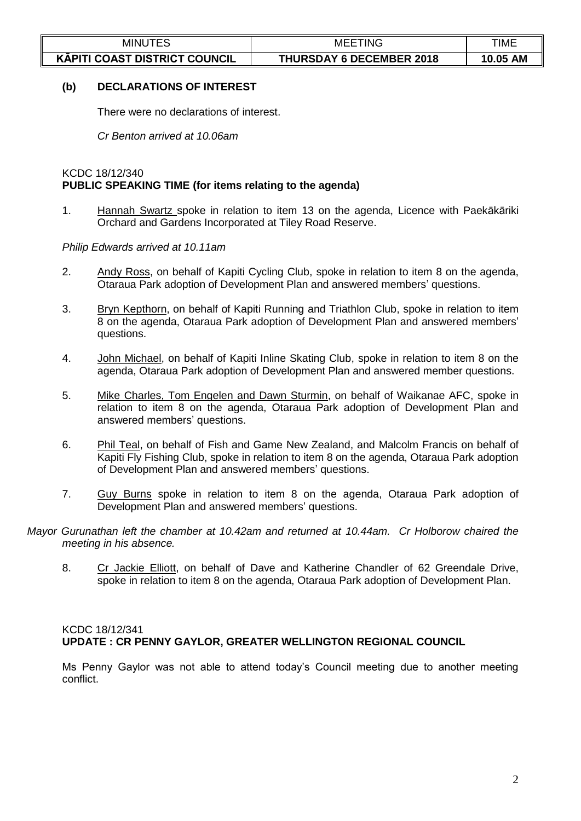| <b>MINUTES</b>                       | TING<br>MEE <sup>-</sup>        | TIME     |
|--------------------------------------|---------------------------------|----------|
| <b>KÄPITI COAST DISTRICT COUNCIL</b> | <b>THURSDAY 6 DECEMBER 2018</b> | 10.05 AM |

## **(b) DECLARATIONS OF INTEREST**

There were no declarations of interest.

*Cr Benton arrived at 10.06am*

### KCDC 18/12/340 **PUBLIC SPEAKING TIME (for items relating to the agenda)**

1. Hannah Swartz spoke in relation to item 13 on the agenda, Licence with Paekākāriki Orchard and Gardens Incorporated at Tiley Road Reserve.

*Philip Edwards arrived at 10.11am*

- 2. Andy Ross, on behalf of Kapiti Cycling Club, spoke in relation to item 8 on the agenda, Otaraua Park adoption of Development Plan and answered members' questions.
- 3. Bryn Kepthorn, on behalf of Kapiti Running and Triathlon Club, spoke in relation to item 8 on the agenda, Otaraua Park adoption of Development Plan and answered members' questions.
- 4. John Michael, on behalf of Kapiti Inline Skating Club, spoke in relation to item 8 on the agenda, Otaraua Park adoption of Development Plan and answered member questions.
- 5. Mike Charles, Tom Engelen and Dawn Sturmin, on behalf of Waikanae AFC, spoke in relation to item 8 on the agenda, Otaraua Park adoption of Development Plan and answered members' questions.
- 6. Phil Teal, on behalf of Fish and Game New Zealand, and Malcolm Francis on behalf of Kapiti Fly Fishing Club, spoke in relation to item 8 on the agenda, Otaraua Park adoption of Development Plan and answered members' questions.
- 7. Guy Burns spoke in relation to item 8 on the agenda, Otaraua Park adoption of Development Plan and answered members' questions.
- *Mayor Gurunathan left the chamber at 10.42am and returned at 10.44am. Cr Holborow chaired the meeting in his absence.*
	- 8. Cr Jackie Elliott, on behalf of Dave and Katherine Chandler of 62 Greendale Drive, spoke in relation to item 8 on the agenda, Otaraua Park adoption of Development Plan.

# KCDC 18/12/341 **UPDATE : CR PENNY GAYLOR, GREATER WELLINGTON REGIONAL COUNCIL**

Ms Penny Gaylor was not able to attend today's Council meeting due to another meeting conflict.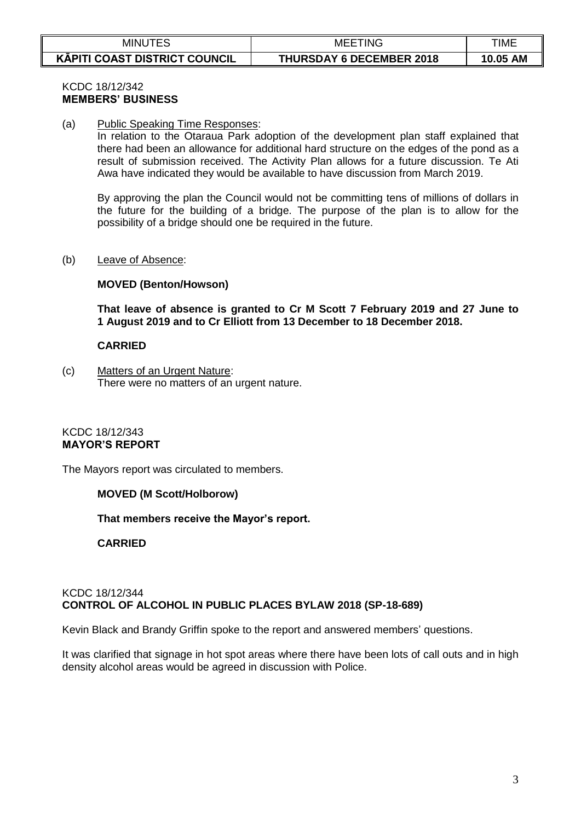| MINUTES                              | <b>MEETING</b>                  | TIME     |
|--------------------------------------|---------------------------------|----------|
| <b>KAPITI COAST DISTRICT COUNCIL</b> | <b>THURSDAY 6 DECEMBER 2018</b> | 10.05 AM |

# KCDC 18/12/342 **MEMBERS' BUSINESS**

(a) Public Speaking Time Responses:

In relation to the Otaraua Park adoption of the development plan staff explained that there had been an allowance for additional hard structure on the edges of the pond as a result of submission received. The Activity Plan allows for a future discussion. Te Ati Awa have indicated they would be available to have discussion from March 2019.

By approving the plan the Council would not be committing tens of millions of dollars in the future for the building of a bridge. The purpose of the plan is to allow for the possibility of a bridge should one be required in the future.

### (b) Leave of Absence:

### **MOVED (Benton/Howson)**

**That leave of absence is granted to Cr M Scott 7 February 2019 and 27 June to 1 August 2019 and to Cr Elliott from 13 December to 18 December 2018.** 

#### **CARRIED**

(c) Matters of an Urgent Nature: There were no matters of an urgent nature.

### KCDC 18/12/343 **MAYOR'S REPORT**

The Mayors report was circulated to members.

#### **MOVED (M Scott/Holborow)**

**That members receive the Mayor's report.**

**CARRIED**

## KCDC 18/12/344 **CONTROL OF ALCOHOL IN PUBLIC PLACES BYLAW 2018 (SP-18-689)**

Kevin Black and Brandy Griffin spoke to the report and answered members' questions.

It was clarified that signage in hot spot areas where there have been lots of call outs and in high density alcohol areas would be agreed in discussion with Police.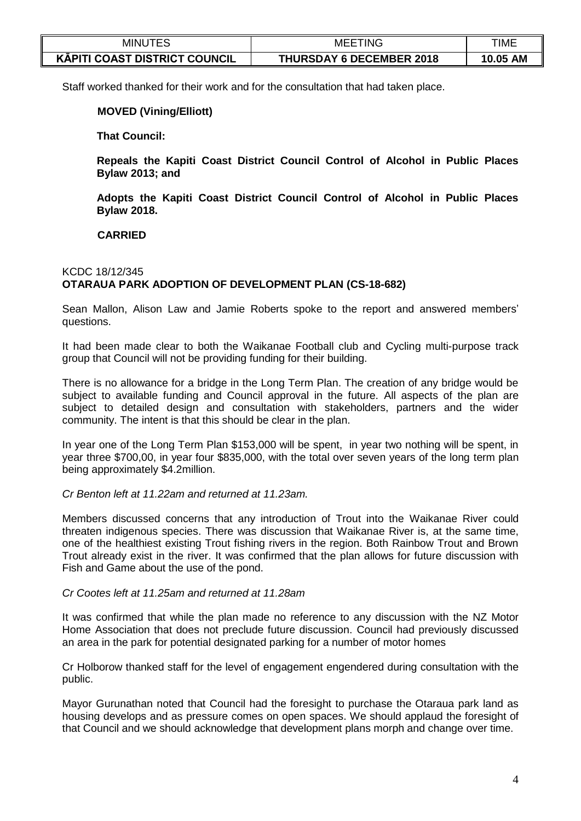| <b>MINL</b>                          | TING<br>MEE                     | TIME               |
|--------------------------------------|---------------------------------|--------------------|
| <b>KAPITI COAST DISTRICT COUNCIL</b> | <b>THURSDAY 6 DECEMBER 2018</b> | <b>AM</b><br>10.05 |

Staff worked thanked for their work and for the consultation that had taken place.

## **MOVED (Vining/Elliott)**

**That Council:** 

**Repeals the Kapiti Coast District Council Control of Alcohol in Public Places Bylaw 2013; and**

**Adopts the Kapiti Coast District Council Control of Alcohol in Public Places Bylaw 2018.**

**CARRIED**

# KCDC 18/12/345 **OTARAUA PARK ADOPTION OF DEVELOPMENT PLAN (CS-18-682)**

Sean Mallon, Alison Law and Jamie Roberts spoke to the report and answered members' questions.

It had been made clear to both the Waikanae Football club and Cycling multi-purpose track group that Council will not be providing funding for their building.

There is no allowance for a bridge in the Long Term Plan. The creation of any bridge would be subject to available funding and Council approval in the future. All aspects of the plan are subject to detailed design and consultation with stakeholders, partners and the wider community. The intent is that this should be clear in the plan.

In year one of the Long Term Plan \$153,000 will be spent, in year two nothing will be spent, in year three \$700,00, in year four \$835,000, with the total over seven years of the long term plan being approximately \$4.2million.

## *Cr Benton left at 11.22am and returned at 11.23am.*

Members discussed concerns that any introduction of Trout into the Waikanae River could threaten indigenous species. There was discussion that Waikanae River is, at the same time, one of the healthiest existing Trout fishing rivers in the region. Both Rainbow Trout and Brown Trout already exist in the river. It was confirmed that the plan allows for future discussion with Fish and Game about the use of the pond.

### *Cr Cootes left at 11.25am and returned at 11.28am*

It was confirmed that while the plan made no reference to any discussion with the NZ Motor Home Association that does not preclude future discussion. Council had previously discussed an area in the park for potential designated parking for a number of motor homes

Cr Holborow thanked staff for the level of engagement engendered during consultation with the public.

Mayor Gurunathan noted that Council had the foresight to purchase the Otaraua park land as housing develops and as pressure comes on open spaces. We should applaud the foresight of that Council and we should acknowledge that development plans morph and change over time.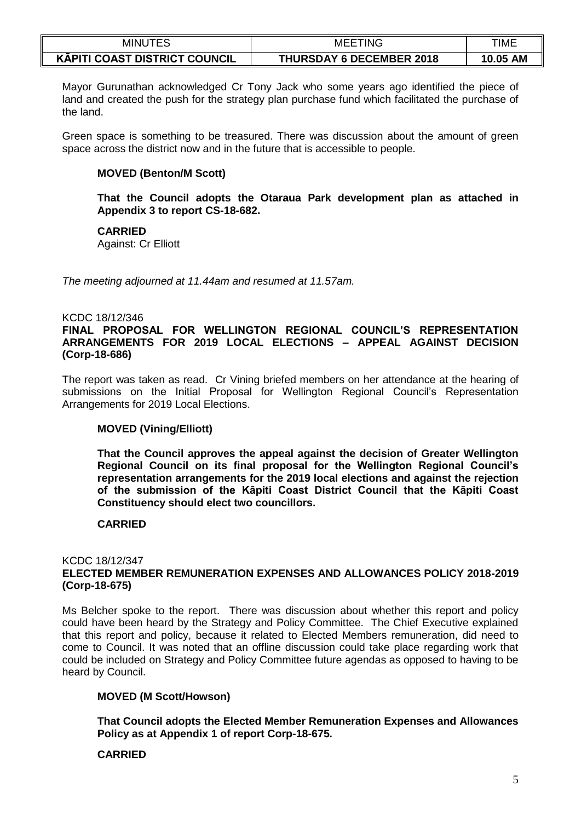| MINUTES                              | TING<br>MEE                     | <b>TIME</b>        |
|--------------------------------------|---------------------------------|--------------------|
| <b>KĀPITI COAST DISTRICT COUNCIL</b> | <b>THURSDAY 6 DECEMBER 2018</b> | <b>AM</b><br>10.05 |

Mayor Gurunathan acknowledged Cr Tony Jack who some years ago identified the piece of land and created the push for the strategy plan purchase fund which facilitated the purchase of the land.

Green space is something to be treasured. There was discussion about the amount of green space across the district now and in the future that is accessible to people.

## **MOVED (Benton/M Scott)**

**That the Council adopts the Otaraua Park development plan as attached in Appendix 3 to report CS-18-682.**

**CARRIED**

Against: Cr Elliott

*The meeting adjourned at 11.44am and resumed at 11.57am.*

### KCDC 18/12/346

### **FINAL PROPOSAL FOR WELLINGTON REGIONAL COUNCIL'S REPRESENTATION ARRANGEMENTS FOR 2019 LOCAL ELECTIONS – APPEAL AGAINST DECISION (Corp-18-686)**

The report was taken as read. Cr Vining briefed members on her attendance at the hearing of submissions on the Initial Proposal for Wellington Regional Council's Representation Arrangements for 2019 Local Elections.

## **MOVED (Vining/Elliott)**

**That the Council approves the appeal against the decision of Greater Wellington Regional Council on its final proposal for the Wellington Regional Council's representation arrangements for the 2019 local elections and against the rejection of the submission of the Kāpiti Coast District Council that the Kāpiti Coast Constituency should elect two councillors.**

#### **CARRIED**

#### KCDC 18/12/347 **ELECTED MEMBER REMUNERATION EXPENSES AND ALLOWANCES POLICY 2018-2019 (Corp-18-675)**

Ms Belcher spoke to the report. There was discussion about whether this report and policy could have been heard by the Strategy and Policy Committee. The Chief Executive explained that this report and policy, because it related to Elected Members remuneration, did need to come to Council. It was noted that an offline discussion could take place regarding work that could be included on Strategy and Policy Committee future agendas as opposed to having to be heard by Council.

## **MOVED (M Scott/Howson)**

**That Council adopts the Elected Member Remuneration Expenses and Allowances Policy as at Appendix 1 of report Corp-18-675.**

## **CARRIED**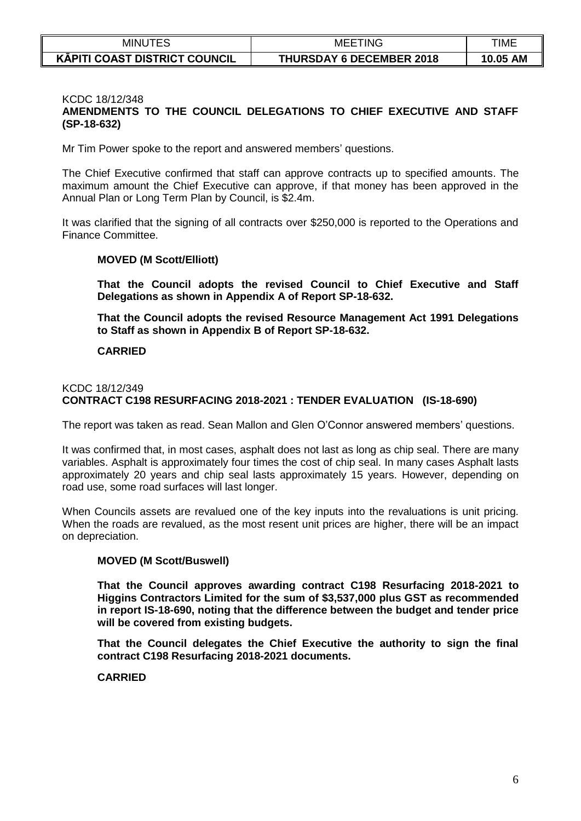| <b>MINUTES</b>                       | <b>MEETING</b>                  | TIME     |
|--------------------------------------|---------------------------------|----------|
| <b>KAPITI COAST DISTRICT COUNCIL</b> | <b>THURSDAY 6 DECEMBER 2018</b> | 10.05 AM |

### KCDC 18/12/348

# **AMENDMENTS TO THE COUNCIL DELEGATIONS TO CHIEF EXECUTIVE AND STAFF (SP-18-632)**

Mr Tim Power spoke to the report and answered members' questions.

The Chief Executive confirmed that staff can approve contracts up to specified amounts. The maximum amount the Chief Executive can approve, if that money has been approved in the Annual Plan or Long Term Plan by Council, is \$2.4m.

It was clarified that the signing of all contracts over \$250,000 is reported to the Operations and Finance Committee.

### **MOVED (M Scott/Elliott)**

**That the Council adopts the revised Council to Chief Executive and Staff Delegations as shown in Appendix A of Report SP-18-632.**

**That the Council adopts the revised Resource Management Act 1991 Delegations to Staff as shown in Appendix B of Report SP-18-632.**

### **CARRIED**

## KCDC 18/12/349 **CONTRACT C198 RESURFACING 2018-2021 : TENDER EVALUATION (IS-18-690)**

The report was taken as read. Sean Mallon and Glen O'Connor answered members' questions.

It was confirmed that, in most cases, asphalt does not last as long as chip seal. There are many variables. Asphalt is approximately four times the cost of chip seal. In many cases Asphalt lasts approximately 20 years and chip seal lasts approximately 15 years. However, depending on road use, some road surfaces will last longer.

When Councils assets are revalued one of the key inputs into the revaluations is unit pricing. When the roads are revalued, as the most resent unit prices are higher, there will be an impact on depreciation.

#### **MOVED (M Scott/Buswell)**

**That the Council approves awarding contract C198 Resurfacing 2018-2021 to Higgins Contractors Limited for the sum of \$3,537,000 plus GST as recommended in report IS-18-690, noting that the difference between the budget and tender price will be covered from existing budgets.**

**That the Council delegates the Chief Executive the authority to sign the final contract C198 Resurfacing 2018-2021 documents.**

### **CARRIED**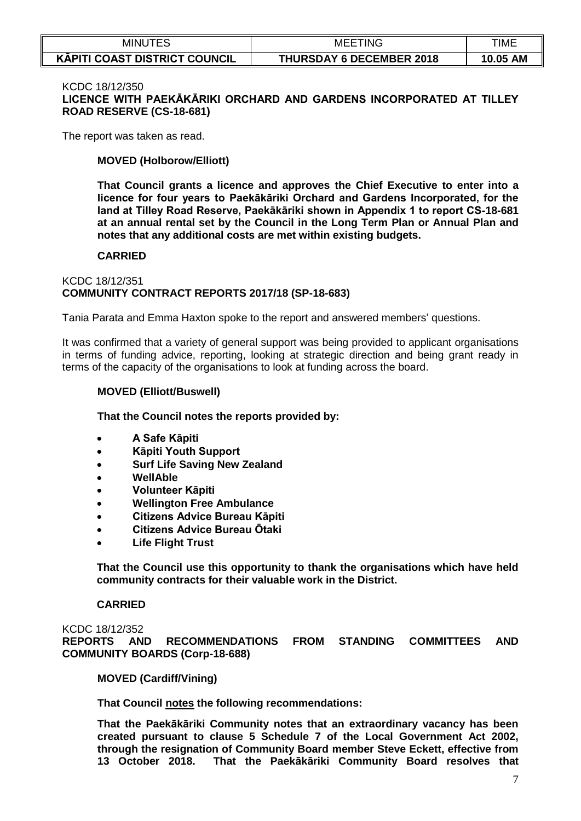| <b>MINUTES</b>                       | TING<br>MEE.                    | TIME        |
|--------------------------------------|---------------------------------|-------------|
| <b>KAPITI COAST DISTRICT COUNCIL</b> | <b>THURSDAY 6 DECEMBER 2018</b> | AM<br>10.05 |

#### KCDC 18/12/350

**LICENCE WITH PAEKĀKĀRIKI ORCHARD AND GARDENS INCORPORATED AT TILLEY ROAD RESERVE (CS-18-681)**

The report was taken as read.

### **MOVED (Holborow/Elliott)**

**That Council grants a licence and approves the Chief Executive to enter into a licence for four years to Paekākāriki Orchard and Gardens Incorporated, for the land at Tilley Road Reserve, Paekākāriki shown in Appendix 1 to report CS-18-681 at an annual rental set by the Council in the Long Term Plan or Annual Plan and notes that any additional costs are met within existing budgets.**

#### **CARRIED**

### KCDC 18/12/351 **COMMUNITY CONTRACT REPORTS 2017/18 (SP-18-683)**

Tania Parata and Emma Haxton spoke to the report and answered members' questions.

It was confirmed that a variety of general support was being provided to applicant organisations in terms of funding advice, reporting, looking at strategic direction and being grant ready in terms of the capacity of the organisations to look at funding across the board.

#### **MOVED (Elliott/Buswell)**

**That the Council notes the reports provided by:**

- **A Safe Kāpiti**
- **Kāpiti Youth Support**
- **Surf Life Saving New Zealand**
- **WellAble**
- **Volunteer Kāpiti**
- **Wellington Free Ambulance**
- **Citizens Advice Bureau Kāpiti**
- **Citizens Advice Bureau Ōtaki**
- **Life Flight Trust**

**That the Council use this opportunity to thank the organisations which have held community contracts for their valuable work in the District.** 

#### **CARRIED**

KCDC 18/12/352 **REPORTS AND RECOMMENDATIONS FROM STANDING COMMITTEES AND COMMUNITY BOARDS (Corp-18-688)**

**MOVED (Cardiff/Vining)** 

**That Council notes the following recommendations:**

**That the Paekākāriki Community notes that an extraordinary vacancy has been created pursuant to clause 5 Schedule 7 of the Local Government Act 2002, through the resignation of Community Board member Steve Eckett, effective from 13 October 2018. That the Paekākāriki Community Board resolves that**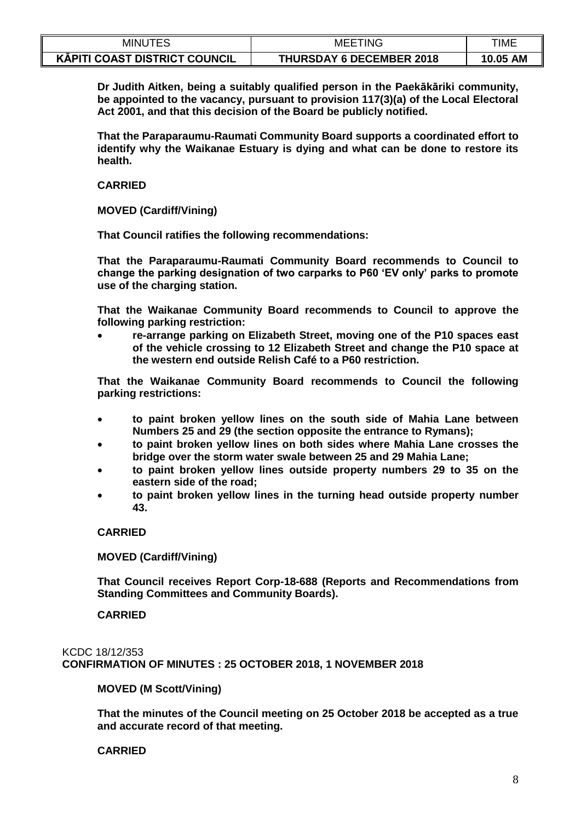| minu <sup>.</sup>                    | TING<br>MEE                     | <b>TIME</b>        |
|--------------------------------------|---------------------------------|--------------------|
| <b>KĀPITI COAST DISTRICT COUNCIL</b> | <b>THURSDAY 6 DECEMBER 2018</b> | <b>AM</b><br>10.05 |

**Dr Judith Aitken, being a suitably qualified person in the Paekākāriki community, be appointed to the vacancy, pursuant to provision 117(3)(a) of the Local Electoral Act 2001, and that this decision of the Board be publicly notified.**

**That the Paraparaumu-Raumati Community Board supports a coordinated effort to identify why the Waikanae Estuary is dying and what can be done to restore its health.**

**CARRIED**

**MOVED (Cardiff/Vining)** 

**That Council ratifies the following recommendations:**

**That the Paraparaumu-Raumati Community Board recommends to Council to change the parking designation of two carparks to P60 'EV only' parks to promote use of the charging station.**

**That the Waikanae Community Board recommends to Council to approve the following parking restriction:** 

 **re-arrange parking on Elizabeth Street, moving one of the P10 spaces east of the vehicle crossing to 12 Elizabeth Street and change the P10 space at the western end outside Relish Café to a P60 restriction.**

**That the Waikanae Community Board recommends to Council the following parking restrictions:**

- **to paint broken yellow lines on the south side of Mahia Lane between Numbers 25 and 29 (the section opposite the entrance to Rymans);**
- **to paint broken yellow lines on both sides where Mahia Lane crosses the bridge over the storm water swale between 25 and 29 Mahia Lane;**
- **to paint broken yellow lines outside property numbers 29 to 35 on the eastern side of the road;**
- **to paint broken yellow lines in the turning head outside property number 43.**

**CARRIED**

**MOVED (Cardiff/Vining)** 

**That Council receives Report Corp-18-688 (Reports and Recommendations from Standing Committees and Community Boards).**

**CARRIED**

KCDC 18/12/353 **CONFIRMATION OF MINUTES : 25 OCTOBER 2018, 1 NOVEMBER 2018**

**MOVED (M Scott/Vining)** 

**That the minutes of the Council meeting on 25 October 2018 be accepted as a true and accurate record of that meeting.**

**CARRIED**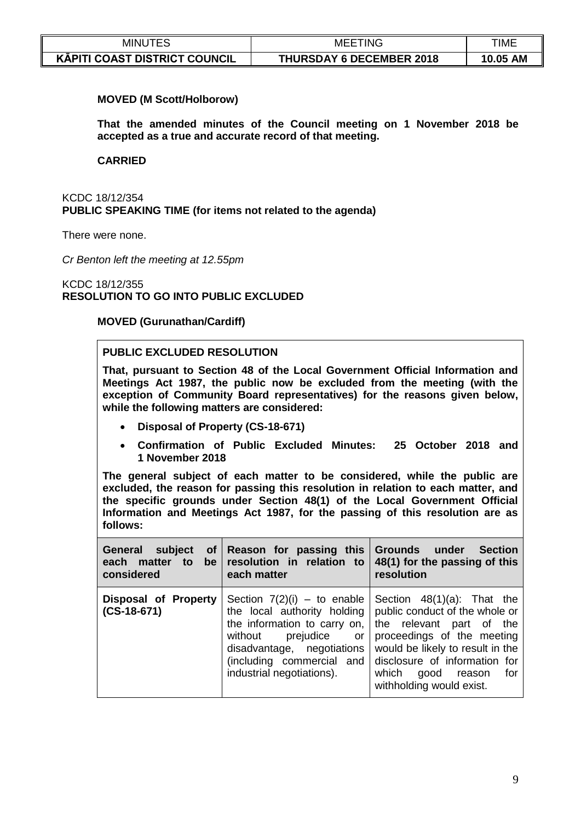| minu <sup>.</sup>                    | TING<br>MEE                     | <b>TIME</b>        |
|--------------------------------------|---------------------------------|--------------------|
| <b>KĀPITI COAST DISTRICT COUNCIL</b> | <b>THURSDAY 6 DECEMBER 2018</b> | <b>AM</b><br>10.05 |

### **MOVED (M Scott/Holborow)**

**That the amended minutes of the Council meeting on 1 November 2018 be accepted as a true and accurate record of that meeting.**

#### **CARRIED**

KCDC 18/12/354 **PUBLIC SPEAKING TIME (for items not related to the agenda)**

There were none.

*Cr Benton left the meeting at 12.55pm*

KCDC 18/12/355 **RESOLUTION TO GO INTO PUBLIC EXCLUDED** 

#### **MOVED (Gurunathan/Cardiff)**

### **PUBLIC EXCLUDED RESOLUTION**

**That, pursuant to Section 48 of the Local Government Official Information and Meetings Act 1987, the public now be excluded from the meeting (with the exception of Community Board representatives) for the reasons given below, while the following matters are considered:**

- **Disposal of Property (CS-18-671)**
- **Confirmation of Public Excluded Minutes: 25 October 2018 and 1 November 2018**

**The general subject of each matter to be considered, while the public are excluded, the reason for passing this resolution in relation to each matter, and the specific grounds under Section 48(1) of the Local Government Official Information and Meetings Act 1987, for the passing of this resolution are as follows:**

| General subject<br><b>of</b><br>each matter<br>considered | each matter                                                                                                                                          | Reason for passing this Grounds under Section<br>to be resolution in relation to $48(1)$ for the passing of this<br>resolution                                                                                                                                                                                          |
|-----------------------------------------------------------|------------------------------------------------------------------------------------------------------------------------------------------------------|-------------------------------------------------------------------------------------------------------------------------------------------------------------------------------------------------------------------------------------------------------------------------------------------------------------------------|
| Disposal of Property<br>$(CS-18-671)$                     | the information to carry on, $\vert$<br>without prejudice or<br>disadvantage, negotiations<br>(including commercial and<br>industrial negotiations). | Section $7(2)(i)$ – to enable   Section $48(1)(a)$ : That the<br>the local authority holding   public conduct of the whole or<br>the relevant part of the<br>proceedings of the meeting<br>would be likely to result in the<br>disclosure of information for<br>which<br>good reason<br>for<br>withholding would exist. |